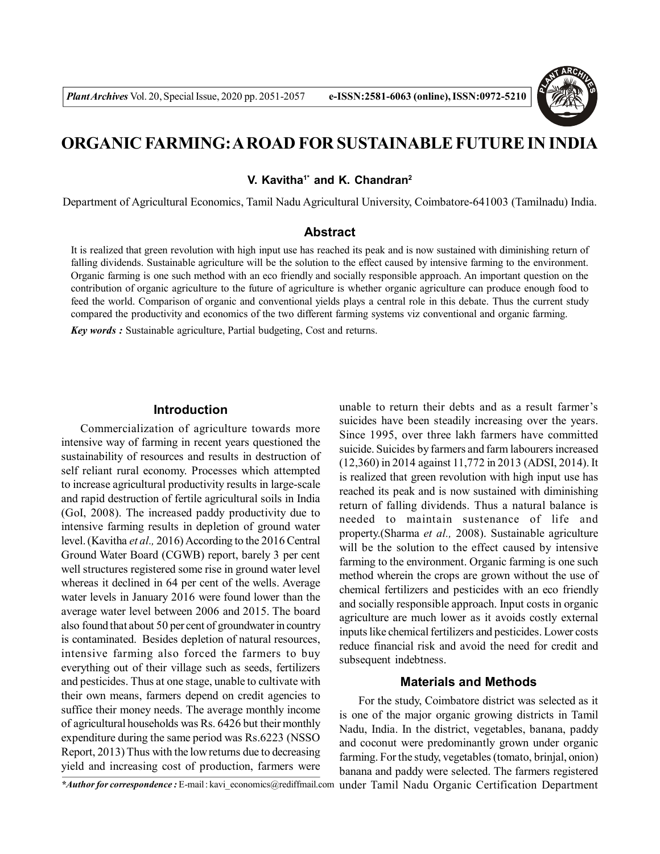

# **ORGANIC FARMING: A ROAD FOR SUSTAINABLE FUTURE IN INDIA**

**V. Kavitha1\* and K. Chandran<sup>2</sup>**

Department of Agricultural Economics, Tamil Nadu Agricultural University, Coimbatore-641003 (Tamilnadu) India.

## **Abstract**

It is realized that green revolution with high input use has reached its peak and is now sustained with diminishing return of falling dividends. Sustainable agriculture will be the solution to the effect caused by intensive farming to the environment. Organic farming is one such method with an eco friendly and socially responsible approach. An important question on the contribution of organic agriculture to the future of agriculture is whether organic agriculture can produce enough food to feed the world. Comparison of organic and conventional yields plays a central role in this debate. Thus the current study compared the productivity and economics of the two different farming systems viz conventional and organic farming.

*Key words :* Sustainable agriculture, Partial budgeting, Cost and returns.

### **Introduction**

Commercialization of agriculture towards more intensive way of farming in recent years questioned the sustainability of resources and results in destruction of self reliant rural economy. Processes which attempted to increase agricultural productivity results in large-scale and rapid destruction of fertile agricultural soils in India (GoI, 2008). The increased paddy productivity due to intensive farming results in depletion of ground water level. (Kavitha *et al.,* 2016) According to the 2016 Central Ground Water Board (CGWB) report, barely 3 per cent well structures registered some rise in ground water level whereas it declined in 64 per cent of the wells. Average water levels in January 2016 were found lower than the average water level between 2006 and 2015. The board also found that about 50 per cent of groundwater in country is contaminated. Besides depletion of natural resources, intensive farming also forced the farmers to buy everything out of their village such as seeds, fertilizers and pesticides. Thus at one stage, unable to cultivate with their own means, farmers depend on credit agencies to suffice their money needs. The average monthly income of agricultural households was Rs. 6426 but their monthly expenditure during the same period was Rs.6223 (NSSO Report, 2013) Thus with the low returns due to decreasing yield and increasing cost of production, farmers were

unable to return their debts and as a result farmer's suicides have been steadily increasing over the years. Since 1995, over three lakh farmers have committed suicide. Suicides by farmers and farm labourers increased (12,360) in 2014 against 11,772 in 2013 (ADSI, 2014). It is realized that green revolution with high input use has reached its peak and is now sustained with diminishing return of falling dividends. Thus a natural balance is needed to maintain sustenance of life and property.(Sharma *et al.,* 2008). Sustainable agriculture will be the solution to the effect caused by intensive farming to the environment. Organic farming is one such method wherein the crops are grown without the use of chemical fertilizers and pesticides with an eco friendly and socially responsible approach. Input costs in organic agriculture are much lower as it avoids costly external inputs like chemical fertilizers and pesticides. Lower costs reduce financial risk and avoid the need for credit and subsequent indebtness.

## **Materials and Methods**

For the study, Coimbatore district was selected as it is one of the major organic growing districts in Tamil Nadu, India. In the district, vegetables, banana, paddy and coconut were predominantly grown under organic farming. For the study, vegetables (tomato, brinjal, onion) banana and paddy were selected. The farmers registered

*\*Author for correspondence :* E-mail : kavi\_economics@rediffmail.com under Tamil Nadu Organic Certification Department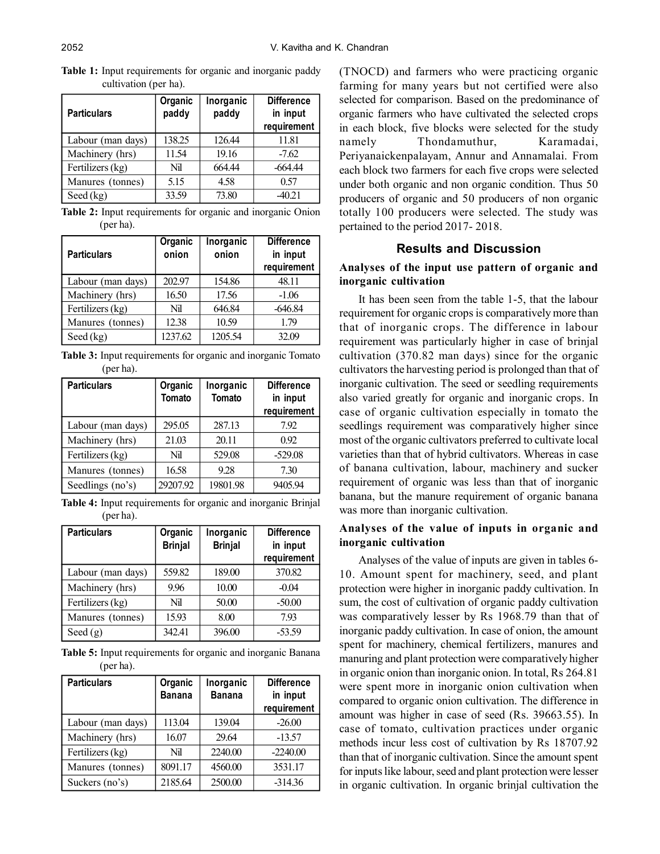| <b>Particulars</b> | Organic<br>paddy | Inorganic<br>paddy | <b>Difference</b><br>in input<br>requirement |
|--------------------|------------------|--------------------|----------------------------------------------|
| Labour (man days)  | 138.25           | 126.44             | 11.81                                        |
| Machinery (hrs)    | 11.54            | 19.16              | $-7.62$                                      |
| Fertilizers (kg)   | Nil              | 664.44             | $-664.44$                                    |
| Manures (tonnes)   | 5.15             | 4.58               | 0.57                                         |
| Seed $(kg)$        | 33.59            | 73.80              | $-40.21$                                     |

**Table 1:** Input requirements for organic and inorganic paddy cultivation (per ha).

**Table 2:** Input requirements for organic and inorganic Onion (per ha).

| <b>Particulars</b> | Organic<br>onion | Inorganic<br>onion | <b>Difference</b><br>in input<br>requirement |
|--------------------|------------------|--------------------|----------------------------------------------|
| Labour (man days)  | 202.97           | 154.86             | 48.11                                        |
| Machinery (hrs)    | 16.50            | 17.56              | $-1.06$                                      |
| Fertilizers (kg)   | Nil              | 646.84             | $-646.84$                                    |
| Manures (tonnes)   | 12.38            | 10.59              | 1.79                                         |
| Seed $(kg)$        | 1237.62          | 1205.54            | 32.09                                        |

**Table 3:** Input requirements for organic and inorganic Tomato (per ha).

| <b>Particulars</b> | Organic<br><b>Tomato</b> | Inorganic<br>Tomato | <b>Difference</b><br>in input<br>requirement |
|--------------------|--------------------------|---------------------|----------------------------------------------|
| Labour (man days)  | 295.05                   | 287.13              | 7.92                                         |
| Machinery (hrs)    | 21.03                    | 20.11               | 0.92                                         |
| Fertilizers (kg)   | Nil                      | 529.08              | $-529.08$                                    |
| Manures (tonnes)   | 16.58                    | 9.28                | 7.30                                         |
| Seedlings (no's)   | 29207.92                 | 19801.98            | 9405.94                                      |

**Table 4:** Input requirements for organic and inorganic Brinjal (per ha).

| <b>Particulars</b> | Organic<br><b>Brinjal</b> | Inorganic<br><b>Brinjal</b> | <b>Difference</b><br>in input<br>requirement |
|--------------------|---------------------------|-----------------------------|----------------------------------------------|
| Labour (man days)  | 559.82                    | 189.00                      | 370.82                                       |
| Machinery (hrs)    | 9.96                      | 10.00                       | $-0.04$                                      |
| Fertilizers (kg)   | Nil                       | 50.00                       | $-50.00$                                     |
| Manures (tonnes)   | 15.93                     | 8.00                        | 7.93                                         |
| Seed $(g)$         | 342.41                    | 396.00                      | $-53.59$                                     |

**Table 5:** Input requirements for organic and inorganic Banana (per ha).

| <b>Particulars</b> | Organic<br><b>Banana</b> | Inorganic<br><b>Banana</b> | <b>Difference</b><br>in input<br>requirement |
|--------------------|--------------------------|----------------------------|----------------------------------------------|
| Labour (man days)  | 113.04                   | 139.04                     | $-26.00$                                     |
| Machinery (hrs)    | 16.07                    | 29.64                      | $-13.57$                                     |
| Fertilizers (kg)   | Nil                      | 2240.00                    | $-2240.00$                                   |
| Manures (tonnes)   | 8091.17                  | 4560.00                    | 3531.17                                      |
| Suckers (no's)     | 2185.64                  | 2500.00                    | $-314.36$                                    |

(TNOCD) and farmers who were practicing organic farming for many years but not certified were also selected for comparison. Based on the predominance of organic farmers who have cultivated the selected crops in each block, five blocks were selected for the study namely Thondamuthur, Karamadai, Periyanaickenpalayam, Annur and Annamalai. From each block two farmers for each five crops were selected under both organic and non organic condition. Thus 50 producers of organic and 50 producers of non organic totally 100 producers were selected. The study was pertained to the period 2017- 2018.

# **Results and Discussion**

# **Analyses of the input use pattern of organic and inorganic cultivation**

It has been seen from the table 1-5, that the labour requirement for organic crops is comparatively more than that of inorganic crops. The difference in labour requirement was particularly higher in case of brinjal cultivation (370.82 man days) since for the organic cultivators the harvesting period is prolonged than that of inorganic cultivation. The seed or seedling requirements also varied greatly for organic and inorganic crops. In case of organic cultivation especially in tomato the seedlings requirement was comparatively higher since most of the organic cultivators preferred to cultivate local varieties than that of hybrid cultivators. Whereas in case of banana cultivation, labour, machinery and sucker requirement of organic was less than that of inorganic banana, but the manure requirement of organic banana was more than inorganic cultivation.

## **Analyses of the value of inputs in organic and inorganic cultivation**

Analyses of the value of inputs are given in tables 6- 10. Amount spent for machinery, seed, and plant protection were higher in inorganic paddy cultivation. In sum, the cost of cultivation of organic paddy cultivation was comparatively lesser by Rs 1968.79 than that of inorganic paddy cultivation. In case of onion, the amount spent for machinery, chemical fertilizers, manures and manuring and plant protection were comparatively higher in organic onion than inorganic onion. In total, Rs 264.81 were spent more in inorganic onion cultivation when compared to organic onion cultivation. The difference in amount was higher in case of seed (Rs. 39663.55). In case of tomato, cultivation practices under organic methods incur less cost of cultivation by Rs 18707.92 than that of inorganic cultivation. Since the amount spent for inputs like labour, seed and plant protection were lesser in organic cultivation. In organic brinjal cultivation the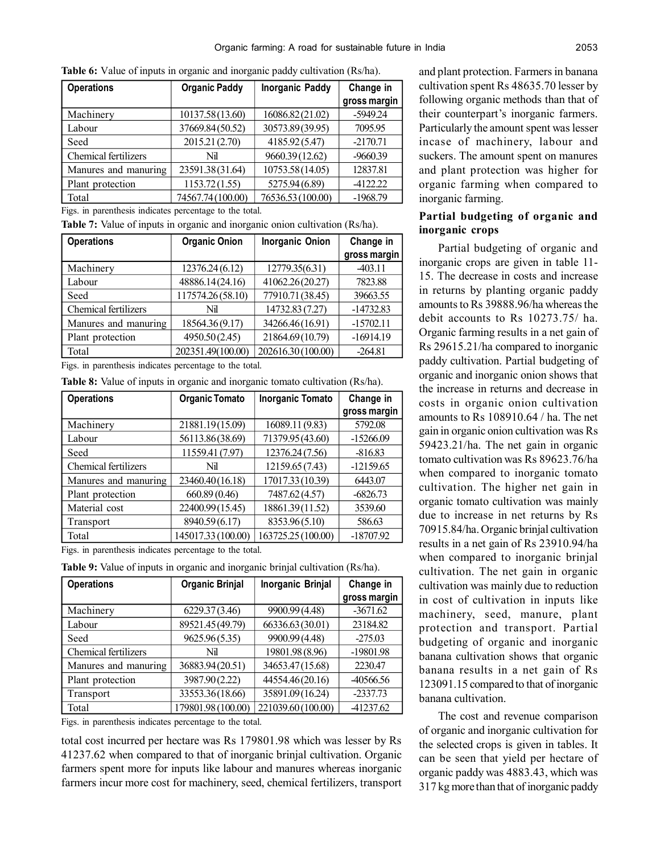| <b>Operations</b>           | <b>Organic Paddy</b> | <b>Inorganic Paddy</b> | Change in    |
|-----------------------------|----------------------|------------------------|--------------|
|                             |                      |                        | gross margin |
| Machinery                   | 10137.58(13.60)      | 16086.82(21.02)        | $-5949.24$   |
| Labour                      | 37669.84(50.52)      | 30573.89(39.95)        | 7095.95      |
| Seed                        | 2015.21 (2.70)       | 4185.92(5.47)          | $-2170.71$   |
| <b>Chemical fertilizers</b> | Nil                  | 9660.39 (12.62)        | $-9660.39$   |
| Manures and manuring        | 23591.38(31.64)      | 10753.58(14.05)        | 12837.81     |
| Plant protection            | 1153.72(1.55)        | 5275.94 (6.89)         | $-4122.22$   |
| Total                       | 74567.74 (100.00)    | 76536.53 (100.00)      | $-1968.79$   |

**Table 6:** Value of inputs in organic and inorganic paddy cultivation (Rs/ha).

Figs. in parenthesis indicates percentage to the total.

**Table 7:** Value of inputs in organic and inorganic onion cultivation (Rs/ha).

| <b>Operations</b>           | <b>Organic Onion</b> | <b>Inorganic Onion</b> | Change in<br>gross margin |
|-----------------------------|----------------------|------------------------|---------------------------|
| Machinery                   | 12376.24 (6.12)      | 12779.35(6.31)         | $-403.11$                 |
| Labour                      | 48886.14(24.16)      | 41062.26(20.27)        | 7823.88                   |
| Seed                        | 117574.26(58.10)     | 77910.71 (38.45)       | 39663.55                  |
| <b>Chemical fertilizers</b> | Nil                  | 14732.83 (7.27)        | $-14732.83$               |
| Manures and manuring        | 18564.36(9.17)       | 34266.46(16.91)        | $-15702.11$               |
| Plant protection            | 4950.50(2.45)        | 21864.69(10.79)        | $-16914.19$               |
| Total                       | 202351.49(100.00)    | 202616.30 (100.00)     | $-264.81$                 |

Figs. in parenthesis indicates percentage to the total.

|  |  |  |  | <b>Table 8:</b> Value of inputs in organic and inorganic tomato cultivation (Rs/ha). |  |  |  |  |  |
|--|--|--|--|--------------------------------------------------------------------------------------|--|--|--|--|--|
|--|--|--|--|--------------------------------------------------------------------------------------|--|--|--|--|--|

| <b>Operations</b>           | <b>Organic Tomato</b> | <b>Inorganic Tomato</b> | Change in<br>gross margin |
|-----------------------------|-----------------------|-------------------------|---------------------------|
| Machinery                   | 21881.19(15.09)       | 16089.11 (9.83)         | 5792.08                   |
| Labour                      | 56113.86(38.69)       | 71379.95 (43.60)        | $-15266.09$               |
| Seed                        | 11559.41 (7.97)       | 12376.24 (7.56)         | $-816.83$                 |
| <b>Chemical fertilizers</b> | Nil                   | 12159.65 (7.43)         | $-12159.65$               |
| Manures and manuring        | 23460.40(16.18)       | 17017.33 (10.39)        | 6443.07                   |
| Plant protection            | 660.89 (0.46)         | 7487.62 (4.57)          | $-6826.73$                |
| Material cost               | 22400.99(15.45)       | 18861.39(11.52)         | 3539.60                   |
| Transport                   | 8940.59 (6.17)        | 8353.96(5.10)           | 586.63                    |
| Total                       | 145017.33 (100.00)    | 163725.25 (100.00)      | $-18707.92$               |

Figs. in parenthesis indicates percentage to the total.

**Table 9:** Value of inputs in organic and inorganic brinjal cultivation (Rs/ha).

| <b>Operations</b>           | <b>Organic Brinjal</b> | Inorganic Brinjal  | Change in    |
|-----------------------------|------------------------|--------------------|--------------|
|                             |                        |                    | gross margin |
| Machinery                   | 6229.37(3.46)          | 9900.99 (4.48)     | $-3671.62$   |
| Labour                      | 89521.45 (49.79)       | 66336.63(30.01)    | 23184.82     |
| Seed                        | 9625.96(5.35)          | 9900.99 (4.48)     | $-275.03$    |
| <b>Chemical fertilizers</b> | Nil                    | 19801.98 (8.96)    | -19801.98    |
| Manures and manuring        | 36883.94(20.51)        | 34653.47(15.68)    | 2230.47      |
| Plant protection            | 3987.90 (2.22)         | 44554.46(20.16)    | -40566.56    |
| Transport                   | 33553.36(18.66)        | 35891.09(16.24)    | $-2337.73$   |
| Total                       | 179801.98 (100.00)     | 221039.60 (100.00) | 41237.62     |

Figs. in parenthesis indicates percentage to the total.

total cost incurred per hectare was Rs 179801.98 which was lesser by Rs 41237.62 when compared to that of inorganic brinjal cultivation. Organic farmers spent more for inputs like labour and manures whereas inorganic farmers incur more cost for machinery, seed, chemical fertilizers, transport

and plant protection. Farmers in banana cultivation spent Rs 48635.70 lesser by following organic methods than that of their counterpart's inorganic farmers. Particularly the amount spent was lesser incase of machinery, labour and suckers. The amount spent on manures and plant protection was higher for organic farming when compared to inorganic farming.

## **Partial budgeting of organic and inorganic crops**

Partial budgeting of organic and inorganic crops are given in table 11- 15. The decrease in costs and increase in returns by planting organic paddy amounts to Rs 39888.96/ha whereas the debit accounts to Rs 10273.75/ ha. Organic farming results in a net gain of Rs 29615.21/ha compared to inorganic paddy cultivation. Partial budgeting of organic and inorganic onion shows that the increase in returns and decrease in costs in organic onion cultivation amounts to Rs 108910.64 / ha. The net gain in organic onion cultivation was Rs 59423.21/ha. The net gain in organic tomato cultivation was Rs 89623.76/ha when compared to inorganic tomato cultivation. The higher net gain in organic tomato cultivation was mainly due to increase in net returns by Rs 70915.84/ha. Organic brinjal cultivation results in a net gain of Rs 23910.94/ha when compared to inorganic brinjal cultivation. The net gain in organic cultivation was mainly due to reduction in cost of cultivation in inputs like machinery, seed, manure, plant protection and transport. Partial budgeting of organic and inorganic banana cultivation shows that organic banana results in a net gain of Rs 123091.15 compared to that of inorganic banana cultivation.

The cost and revenue comparison of organic and inorganic cultivation for the selected crops is given in tables. It can be seen that yield per hectare of organic paddy was 4883.43, which was 317 kg more than that of inorganic paddy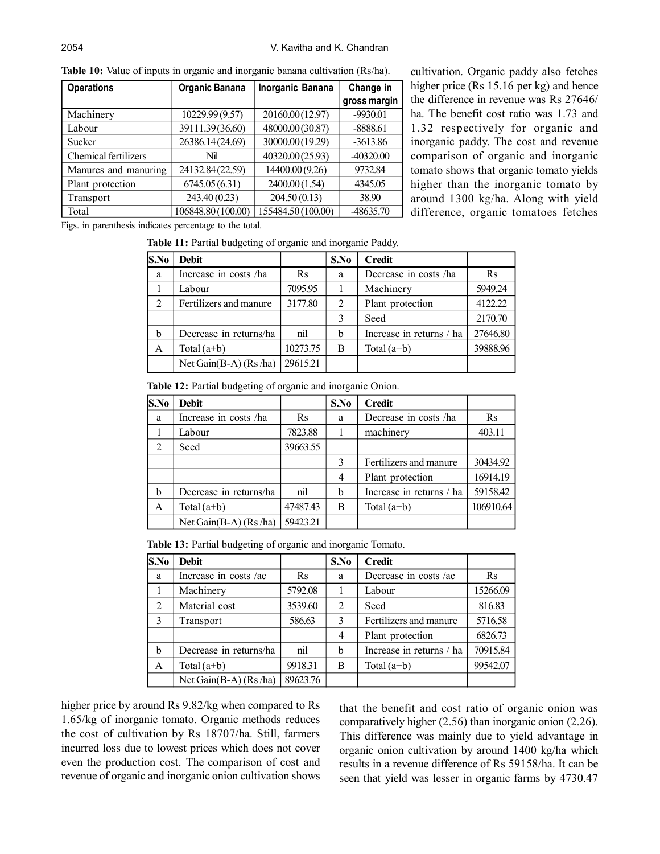| <b>Operations</b>           | <b>Organic Banana</b> | Inorganic Banana  | Change in<br>gross margin |
|-----------------------------|-----------------------|-------------------|---------------------------|
| Machinery                   | 10229.99 (9.57)       | 20160.00(12.97)   | $-9930.01$                |
| Labour                      | 39111.39(36.60)       | 48000.00(30.87)   | $-8888.61$                |
| Sucker                      | 26386.14(24.69)       | 30000.00(19.29)   | $-3613.86$                |
| <b>Chemical fertilizers</b> | Nil                   | 40320.00(25.93)   | -40320.00                 |
| Manures and manuring        | 24132.84(22.59)       | 14400.00 (9.26)   | 9732.84                   |
| Plant protection            | 6745.05(6.31)         | 2400.00 (1.54)    | 4345.05                   |
| Transport                   | 243.40 (0.23)         | 204.50(0.13)      | 38.90                     |
| Total                       | 106848.80 (100.00)    | 155484.50(100.00) | -48635.70                 |

cultivation. Organic paddy also fetches higher price (Rs 15.16 per kg) and hence the difference in revenue was Rs 27646/ ha. The benefit cost ratio was 1.73 and 1.32 respectively for organic and inorganic paddy. The cost and revenue comparison of organic and inorganic tomato shows that organic tomato yields higher than the inorganic tomato by around 1300 kg/ha. Along with yield difference, organic tomatoes fetches

**Table 10:** Value of inputs in organic and inorganic banana cultivation (Rs/ha).

Figs. in parenthesis indicates percentage to the total.

**Table 11:** Partial budgeting of organic and inorganic Paddy.

| S.No | <b>Debit</b>             |          | S.No | <b>Credit</b>            |          |
|------|--------------------------|----------|------|--------------------------|----------|
| a    | Increase in costs /ha    | Rs       | a    | Decrease in costs /ha    | $\rm Rs$ |
|      | Labour                   | 7095.95  |      | Machinery                | 5949.24  |
| 2    | Fertilizers and manure   | 3177.80  | 2    | Plant protection         | 4122.22  |
|      |                          |          | 3    | Seed                     | 2170.70  |
| b    | Decrease in returns/ha   | nil      | b    | Increase in returns / ha | 27646.80 |
| A    | Total $(a+b)$            | 10273.75 | B    | Total $(a+b)$            | 39888.96 |
|      | Net Gain $(B-A)$ (Rs/ha) | 29615.21 |      |                          |          |

**Table 12:** Partial budgeting of organic and inorganic Onion.

| S.No | <b>Debit</b>            |          | S.No | <b>Credit</b>            |           |
|------|-------------------------|----------|------|--------------------------|-----------|
| a    | Increase in costs /ha   | $\rm Rs$ | a    | Decrease in costs /ha    | $\rm Rs$  |
|      | Labour                  | 7823.88  |      | machinery                | 403.11    |
| 2    | Seed                    | 39663.55 |      |                          |           |
|      |                         |          | 3    | Fertilizers and manure   | 30434.92  |
|      |                         |          | 4    | Plant protection         | 16914.19  |
| b    | Decrease in returns/ha  | nil      | b    | Increase in returns / ha | 59158.42  |
| A    | Total $(a+b)$           | 47487.43 | B    | Total $(a+b)$            | 106910.64 |
|      | Net Gain(B-A) $(Rs/ha)$ | 59423.21 |      |                          |           |

**Table 13:** Partial budgeting of organic and inorganic Tomato.

| S.No | <b>Debit</b>             |          | S.No | <b>Credit</b>            |          |
|------|--------------------------|----------|------|--------------------------|----------|
| a    | Increase in costs /ac    | $\rm Rs$ | a    | Decrease in costs /ac    | $\rm Rs$ |
|      | Machinery                | 5792.08  |      | Labour                   | 15266.09 |
| 2    | Material cost            | 3539.60  | 2    | Seed                     | 816.83   |
| 3    | Transport                | 586.63   | 3    | Fertilizers and manure   | 5716.58  |
|      |                          |          | 4    | Plant protection         | 6826.73  |
| b    | Decrease in returns/ha   | nil      | b    | Increase in returns / ha | 70915.84 |
| A    | Total $(a+b)$            | 9918.31  | B    | Total $(a+b)$            | 99542.07 |
|      | Net Gain $(B-A)$ (Rs/ha) | 89623.76 |      |                          |          |

higher price by around Rs 9.82/kg when compared to Rs 1.65/kg of inorganic tomato. Organic methods reduces the cost of cultivation by Rs 18707/ha. Still, farmers incurred loss due to lowest prices which does not cover even the production cost. The comparison of cost and revenue of organic and inorganic onion cultivation shows

that the benefit and cost ratio of organic onion was comparatively higher (2.56) than inorganic onion (2.26). This difference was mainly due to yield advantage in organic onion cultivation by around 1400 kg/ha which results in a revenue difference of Rs 59158/ha. It can be seen that yield was lesser in organic farms by 4730.47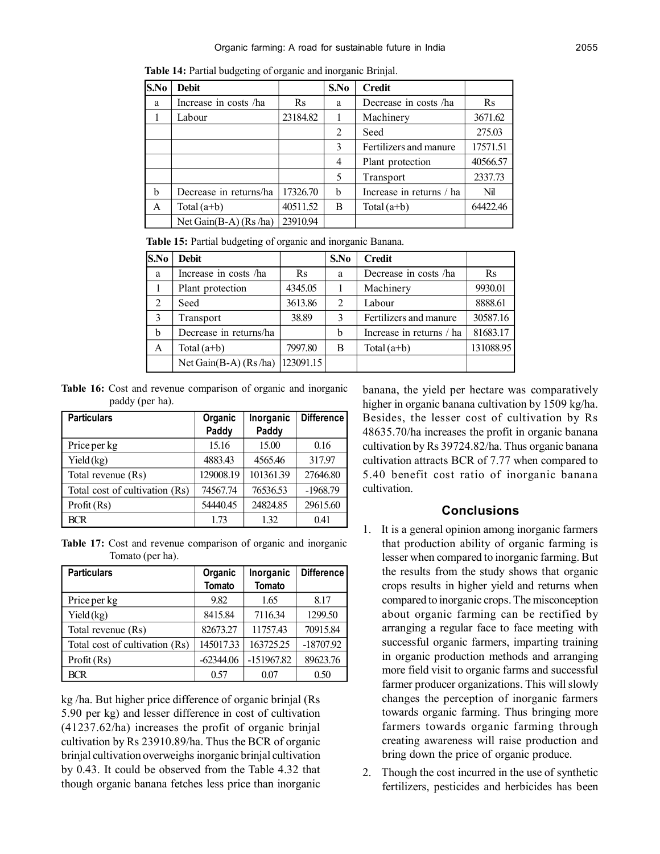| S.No | <b>Debit</b>              |          | S.No | <b>Credit</b>            |           |
|------|---------------------------|----------|------|--------------------------|-----------|
| a    | Increase in costs /ha     | $\rm Rs$ | a    | Decrease in costs /ha    | <b>Rs</b> |
|      | Labour                    | 23184.82 |      | Machinery                | 3671.62   |
|      |                           |          | 2    | Seed                     | 275.03    |
|      |                           |          | 3    | Fertilizers and manure   | 17571.51  |
|      |                           |          | 4    | Plant protection         | 40566.57  |
|      |                           |          | 5    | Transport                | 2337.73   |
| b    | Decrease in returns/ha    | 17326.70 | b    | Increase in returns / ha | Nil       |
| A    | Total $(a+b)$             | 40511.52 | B    | Total $(a+b)$            | 64422.46  |
|      | Net Gain $(B-A)$ (Rs /ha) | 23910.94 |      |                          |           |

**Table 14:** Partial budgeting of organic and inorganic Brinjal.

**Table 15:** Partial budgeting of organic and inorganic Banana.

| S.No | <b>Debit</b>             |           | S.No | <b>Credit</b>            |           |
|------|--------------------------|-----------|------|--------------------------|-----------|
| a    | Increase in costs /ha    | Rs        | a    | Decrease in costs /ha    | $\rm Rs$  |
|      | Plant protection         | 4345.05   |      | Machinery                | 9930.01   |
| 2    | Seed                     | 3613.86   | 2    | Labour                   | 8888.61   |
| 3    | Transport                | 38.89     | 3    | Fertilizers and manure   | 30587.16  |
| b    | Decrease in returns/ha   |           | b    | Increase in returns / ha | 81683.17  |
| A    | Total $(a+b)$            | 7997.80   | B    | Total $(a+b)$            | 131088.95 |
|      | Net Gain $(B-A)$ (Rs/ha) | 123091.15 |      |                          |           |

**Table 16:** Cost and revenue comparison of organic and inorganic paddy (per ha).

| <b>Particulars</b>             | Organic   | Inorganic | Difference |
|--------------------------------|-----------|-----------|------------|
|                                | Paddy     | Paddy     |            |
| Price per kg                   | 15.16     | 15.00     | 0.16       |
| Yield(kg)                      | 4883.43   | 4565.46   | 317.97     |
| Total revenue (Rs)             | 129008.19 | 101361.39 | 27646.80   |
| Total cost of cultivation (Rs) | 74567.74  | 76536.53  | $-1968.79$ |
| Profit (Rs)                    | 54440.45  | 24824.85  | 29615.60   |
| <b>BCR</b>                     | 1.73      | 1.32      | 0.41       |

**Table 17:** Cost and revenue comparison of organic and inorganic Tomato (per ha).

| <b>Particulars</b>             | Organic<br>Tomato | Inorganic<br><b>Tomato</b> | <b>Difference</b> |
|--------------------------------|-------------------|----------------------------|-------------------|
| Price per kg                   | 9.82              | 1.65                       | 8.17              |
| Yield (kg)                     | 8415.84           | 7116.34                    | 1299.50           |
| Total revenue (Rs)             | 82673.27          | 11757.43                   | 70915.84          |
| Total cost of cultivation (Rs) | 145017.33         | 163725.25                  | $-18707.92$       |
| Profit (Rs)                    | $-62344.06$       | -151967.82                 | 89623.76          |
| <b>BCR</b>                     | 0.57              | 0.07                       | 0.50              |

kg /ha. But higher price difference of organic brinjal (Rs 5.90 per kg) and lesser difference in cost of cultivation (41237.62/ha) increases the profit of organic brinjal cultivation by Rs 23910.89/ha. Thus the BCR of organic brinjal cultivation overweighs inorganic brinjal cultivation by 0.43. It could be observed from the Table 4.32 that though organic banana fetches less price than inorganic

banana, the yield per hectare was comparatively higher in organic banana cultivation by 1509 kg/ha. Besides, the lesser cost of cultivation by Rs 48635.70/ha increases the profit in organic banana cultivation by Rs 39724.82/ha. Thus organic banana cultivation attracts BCR of 7.77 when compared to 5.40 benefit cost ratio of inorganic banana cultivation.

# **Conclusions**

- 1. It is a general opinion among inorganic farmers that production ability of organic farming is lesser when compared to inorganic farming. But the results from the study shows that organic crops results in higher yield and returns when compared to inorganic crops. The misconception about organic farming can be rectified by arranging a regular face to face meeting with successful organic farmers, imparting training in organic production methods and arranging more field visit to organic farms and successful farmer producer organizations. This will slowly changes the perception of inorganic farmers towards organic farming. Thus bringing more farmers towards organic farming through creating awareness will raise production and bring down the price of organic produce.
- 2. Though the cost incurred in the use of synthetic fertilizers, pesticides and herbicides has been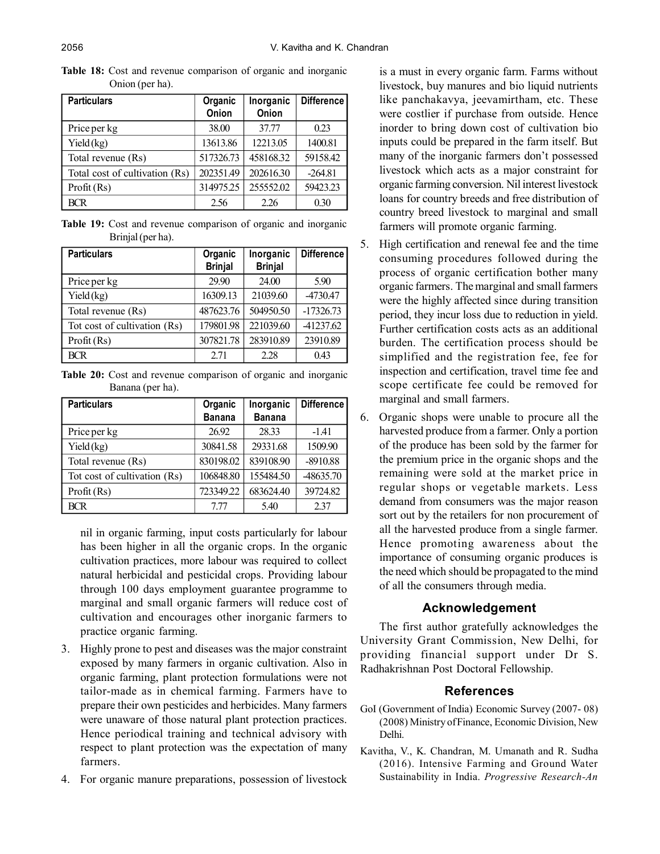| <b>Particulars</b>             | Organic<br>Onion | Inorganic<br>Onion | <b>Difference</b> |
|--------------------------------|------------------|--------------------|-------------------|
| Price per kg                   | 38.00            | 37.77              | 0.23              |
| Yield(kg)                      | 13613.86         | 12213.05           | 1400.81           |
| Total revenue (Rs)             | 517326.73        | 458168.32          | 59158.42          |
| Total cost of cultivation (Rs) | 202351.49        | 202616.30          | $-264.81$         |
| Profit (Rs)                    | 314975.25        | 255552.02          | 59423.23          |
| <b>BCR</b>                     | 2.56             | 2.26               | 0.30              |

**Table 18:** Cost and revenue comparison of organic and inorganic Onion (per ha).

**Table 19:** Cost and revenue comparison of organic and inorganic Brinjal (per ha).

| <b>Particulars</b>           | Organic<br><b>Brinjal</b> | Inorganic<br><b>Brinjal</b> | <b>Difference</b> |
|------------------------------|---------------------------|-----------------------------|-------------------|
| Price per kg                 | 29.90                     | 24.00                       | 5.90              |
| Yield(kg)                    | 16309.13                  | 21039.60                    | -4730.47          |
| Total revenue (Rs)           | 487623.76                 | 504950.50                   | $-17326.73$       |
| Tot cost of cultivation (Rs) | 179801.98                 | 221039.60                   | 41237.62          |
| Profit (Rs)                  | 307821.78                 | 283910.89                   | 23910.89          |
| <b>BCR</b>                   | 2.71                      | 2.28                        | 0.43              |

**Table 20:** Cost and revenue comparison of organic and inorganic Banana (per ha).

| <b>Particulars</b>           | Organic       | Inorganic     | Difference |
|------------------------------|---------------|---------------|------------|
|                              | <b>Banana</b> | <b>Banana</b> |            |
| Price per kg                 | 26.92         | 28.33         | $-1.41$    |
| Yield(kg)                    | 30841.58      | 29331.68      | 1509.90    |
| Total revenue (Rs)           | 830198.02     | 839108.90     | $-8910.88$ |
| Tot cost of cultivation (Rs) | 106848.80     | 155484.50     | 48635.70   |
| Profit (Rs)                  | 723349.22     | 683624.40     | 39724.82   |
| <b>BCR</b>                   | 7 77          | 5.40          | 2.37       |

nil in organic farming, input costs particularly for labour has been higher in all the organic crops. In the organic cultivation practices, more labour was required to collect natural herbicidal and pesticidal crops. Providing labour through 100 days employment guarantee programme to marginal and small organic farmers will reduce cost of cultivation and encourages other inorganic farmers to practice organic farming.

- 3. Highly prone to pest and diseases was the major constraint exposed by many farmers in organic cultivation. Also in organic farming, plant protection formulations were not tailor-made as in chemical farming. Farmers have to prepare their own pesticides and herbicides. Many farmers were unaware of those natural plant protection practices. Hence periodical training and technical advisory with respect to plant protection was the expectation of many farmers.
- 4. For organic manure preparations, possession of livestock

is a must in every organic farm. Farms without livestock, buy manures and bio liquid nutrients like panchakavya, jeevamirtham, etc. These were costlier if purchase from outside. Hence inorder to bring down cost of cultivation bio inputs could be prepared in the farm itself. But many of the inorganic farmers don't possessed livestock which acts as a major constraint for organic farming conversion. Nil interest livestock loans for country breeds and free distribution of country breed livestock to marginal and small farmers will promote organic farming.

- 5. High certification and renewal fee and the time consuming procedures followed during the process of organic certification bother many organic farmers. The marginal and small farmers were the highly affected since during transition period, they incur loss due to reduction in yield. Further certification costs acts as an additional burden. The certification process should be simplified and the registration fee, fee for inspection and certification, travel time fee and scope certificate fee could be removed for marginal and small farmers.
- 6. Organic shops were unable to procure all the harvested produce from a farmer. Only a portion of the produce has been sold by the farmer for the premium price in the organic shops and the remaining were sold at the market price in regular shops or vegetable markets. Less demand from consumers was the major reason sort out by the retailers for non procurement of all the harvested produce from a single farmer. Hence promoting awareness about the importance of consuming organic produces is the need which should be propagated to the mind of all the consumers through media.

### **Acknowledgement**

The first author gratefully acknowledges the University Grant Commission, New Delhi, for providing financial support under Dr S. Radhakrishnan Post Doctoral Fellowship.

### **References**

- GoI (Government of India) Economic Survey (2007- 08) (2008) Ministry of Finance, Economic Division, New Delhi.
- Kavitha, V., K. Chandran, M. Umanath and R. Sudha (2016). Intensive Farming and Ground Water Sustainability in India. *Progressive Research-An*